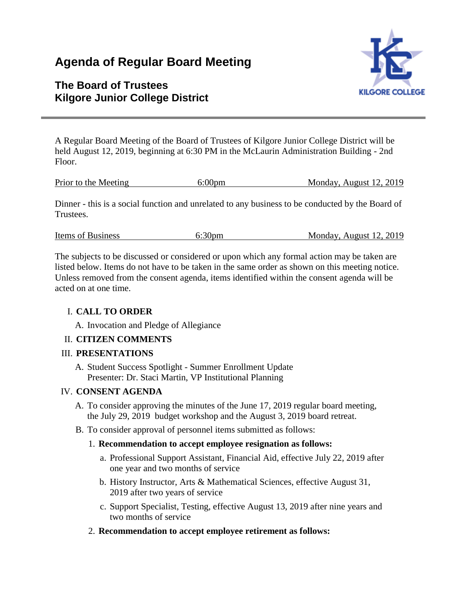# **Agenda of Regular Board Meeting**

# **The Board of Trustees Kilgore Junior College District**



A Regular Board Meeting of the Board of Trustees of Kilgore Junior College District will be held August 12, 2019, beginning at 6:30 PM in the McLaurin Administration Building - 2nd Floor.

|  | Prior to the Meeting | $6:00$ pm | Monday, August 12, 2019 |
|--|----------------------|-----------|-------------------------|
|--|----------------------|-----------|-------------------------|

Dinner - this is a social function and unrelated to any business to be conducted by the Board of Trustees.

| Items of Business | 6:30 <sub>pm</sub> | Monday, August 12, 2019 |
|-------------------|--------------------|-------------------------|
|                   |                    |                         |

The subjects to be discussed or considered or upon which any formal action may be taken are listed below. Items do not have to be taken in the same order as shown on this meeting notice. Unless removed from the consent agenda, items identified within the consent agenda will be acted on at one time.

### I. **CALL TO ORDER**

A. Invocation and Pledge of Allegiance

# II. **CITIZEN COMMENTS**

### III. **PRESENTATIONS**

A. Student Success Spotlight - Summer Enrollment Update Presenter: Dr. Staci Martin, VP Institutional Planning

### IV. **CONSENT AGENDA**

- A. To consider approving the minutes of the June 17, 2019 regular board meeting, the July 29, 2019 budget workshop and the August 3, 2019 board retreat.
- B. To consider approval of personnel items submitted as follows:

### 1. **Recommendation to accept employee resignation as follows:**

- a. Professional Support Assistant, Financial Aid, effective July 22, 2019 after one year and two months of service
- b. History Instructor, Arts & Mathematical Sciences, effective August 31, 2019 after two years of service
- c. Support Specialist, Testing, effective August 13, 2019 after nine years and two months of service
- 2. **Recommendation to accept employee retirement as follows:**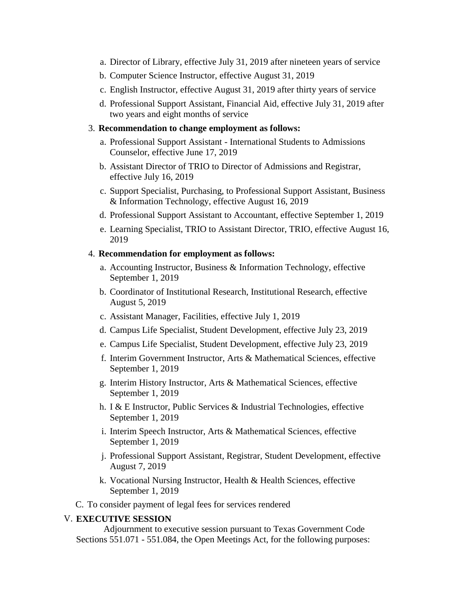- a. Director of Library, effective July 31, 2019 after nineteen years of service
- b. Computer Science Instructor, effective August 31, 2019
- c. English Instructor, effective August 31, 2019 after thirty years of service
- d. Professional Support Assistant, Financial Aid, effective July 31, 2019 after two years and eight months of service

#### 3. **Recommendation to change employment as follows:**

- a. Professional Support Assistant International Students to Admissions Counselor, effective June 17, 2019
- b. Assistant Director of TRIO to Director of Admissions and Registrar, effective July 16, 2019
- c. Support Specialist, Purchasing, to Professional Support Assistant, Business & Information Technology, effective August 16, 2019
- d. Professional Support Assistant to Accountant, effective September 1, 2019
- e. Learning Specialist, TRIO to Assistant Director, TRIO, effective August 16, 2019

#### 4. **Recommendation for employment as follows:**

- a. Accounting Instructor, Business & Information Technology, effective September 1, 2019
- b. Coordinator of Institutional Research, Institutional Research, effective August 5, 2019
- c. Assistant Manager, Facilities, effective July 1, 2019
- d. Campus Life Specialist, Student Development, effective July 23, 2019
- e. Campus Life Specialist, Student Development, effective July 23, 2019
- f. Interim Government Instructor, Arts & Mathematical Sciences, effective September 1, 2019
- g. Interim History Instructor, Arts & Mathematical Sciences, effective September 1, 2019
- h. I & E Instructor, Public Services & Industrial Technologies, effective September 1, 2019
- i. Interim Speech Instructor, Arts & Mathematical Sciences, effective September 1, 2019
- j. Professional Support Assistant, Registrar, Student Development, effective August 7, 2019
- k. Vocational Nursing Instructor, Health & Health Sciences, effective September 1, 2019

C. To consider payment of legal fees for services rendered

#### V. **EXECUTIVE SESSION**

 Adjournment to executive session pursuant to Texas Government Code Sections 551.071 - 551.084, the Open Meetings Act, for the following purposes: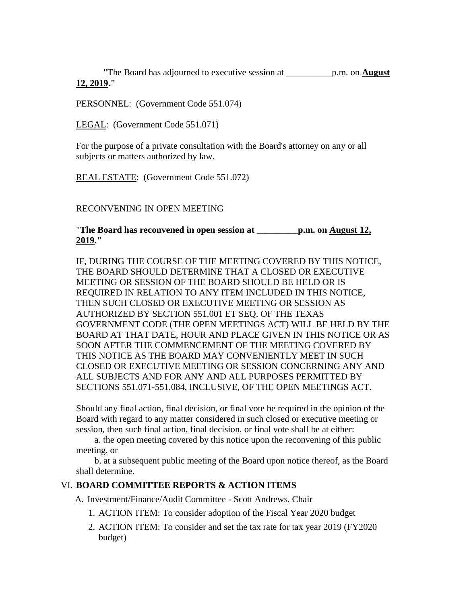"The Board has adjourned to executive session at \_\_\_\_\_\_\_\_\_\_p.m. on **August 12, 2019."**

PERSONNEL: (Government Code 551.074)

LEGAL: (Government Code 551.071)

For the purpose of a private consultation with the Board's attorney on any or all subjects or matters authorized by law.

REAL ESTATE: (Government Code 551.072)

RECONVENING IN OPEN MEETING

"**The Board has reconvened in open session at \_\_\_\_\_\_\_\_\_p.m. on August 12, 2019."**

IF, DURING THE COURSE OF THE MEETING COVERED BY THIS NOTICE, THE BOARD SHOULD DETERMINE THAT A CLOSED OR EXECUTIVE MEETING OR SESSION OF THE BOARD SHOULD BE HELD OR IS REQUIRED IN RELATION TO ANY ITEM INCLUDED IN THIS NOTICE, THEN SUCH CLOSED OR EXECUTIVE MEETING OR SESSION AS AUTHORIZED BY SECTION 551.001 ET SEQ. OF THE TEXAS GOVERNMENT CODE (THE OPEN MEETINGS ACT) WILL BE HELD BY THE BOARD AT THAT DATE, HOUR AND PLACE GIVEN IN THIS NOTICE OR AS SOON AFTER THE COMMENCEMENT OF THE MEETING COVERED BY THIS NOTICE AS THE BOARD MAY CONVENIENTLY MEET IN SUCH CLOSED OR EXECUTIVE MEETING OR SESSION CONCERNING ANY AND ALL SUBJECTS AND FOR ANY AND ALL PURPOSES PERMITTED BY SECTIONS 551.071-551.084, INCLUSIVE, OF THE OPEN MEETINGS ACT.

Should any final action, final decision, or final vote be required in the opinion of the Board with regard to any matter considered in such closed or executive meeting or session, then such final action, final decision, or final vote shall be at either:

 a. the open meeting covered by this notice upon the reconvening of this public meeting, or

 b. at a subsequent public meeting of the Board upon notice thereof, as the Board shall determine.

### VI. **BOARD COMMITTEE REPORTS & ACTION ITEMS**

A. Investment/Finance/Audit Committee - Scott Andrews, Chair

- 1. ACTION ITEM: To consider adoption of the Fiscal Year 2020 budget
- 2. ACTION ITEM: To consider and set the tax rate for tax year 2019 (FY2020 budget)